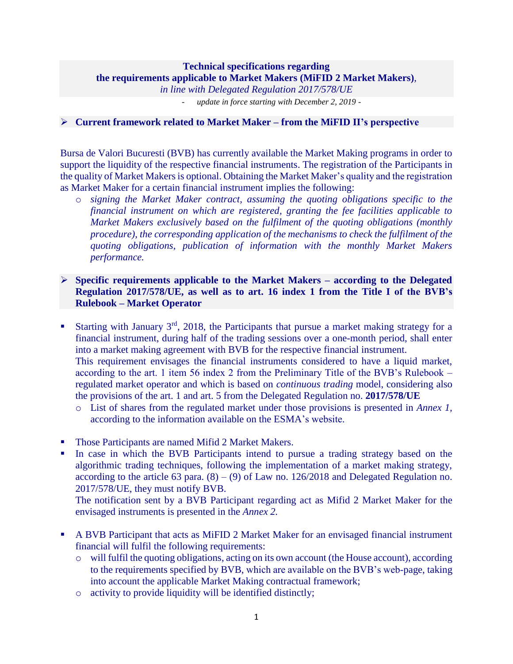### **Technical specifications regarding the requirements applicable to Market Makers (MiFID 2 Market Makers)***, in line with Delegated Regulation 2017/578/UE*

- *update in force starting with December 2, 2019 -*

### ➢ **Current framework related to Market Maker – from the MiFID II's perspective**

Bursa de Valori Bucuresti (BVB) has currently available the Market Making programs in order to support the liquidity of the respective financial instruments. The registration of the Participants in the quality of Market Makers is optional. Obtaining the Market Maker's quality and the registration as Market Maker for a certain financial instrument implies the following:

o *signing the Market Maker contract, assuming the quoting obligations specific to the financial instrument on which are registered, granting the fee facilities applicable to Market Makers exclusively based on the fulfilment of the quoting obligations (monthly procedure), the corresponding application of the mechanisms to check the fulfilment of the quoting obligations, publication of information with the monthly Market Makers performance.*

# ➢ **Specific requirements applicable to the Market Makers – according to the Delegated Regulation 2017/578/UE, as well as to art. 16 index 1 from the Title I of the BVB's Rulebook – Market Operator**

- **Example 1** Starting with January  $3^{rd}$ , 2018, the Participants that pursue a market making strategy for a financial instrument, during half of the trading sessions over a one-month period, shall enter into a market making agreement with BVB for the respective financial instrument. This requirement envisages the financial instruments considered to have a liquid market, according to the art. 1 item 56 index 2 from the Preliminary Title of the BVB's Rulebook – regulated market operator and which is based on *continuous trading* model, considering also the provisions of the art. 1 and art. 5 from the Delegated Regulation no. **2017/578/UE**
	- o List of shares from the regulated market under those provisions is presented in *Annex 1,*  according to the information available on the ESMA's website.
- Those Participants are named Mifid 2 Market Makers.
- In case in which the BVB Participants intend to pursue a trading strategy based on the algorithmic trading techniques, following the implementation of a market making strategy, according to the article 63 para.  $(8) - (9)$  of Law no. 126/2018 and Delegated Regulation no. 2017/578/UE, they must notify BVB.

The notification sent by a BVB Participant regarding act as Mifid 2 Market Maker for the envisaged instruments is presented in the *Annex 2.*

- A BVB Participant that acts as MiFID 2 Market Maker for an envisaged financial instrument financial will fulfil the following requirements:
	- o will fulfil the quoting obligations, acting on its own account (the House account), according to the requirements specified by BVB, which are available on the BVB's web-page, taking into account the applicable Market Making contractual framework;
	- o activity to provide liquidity will be identified distinctly;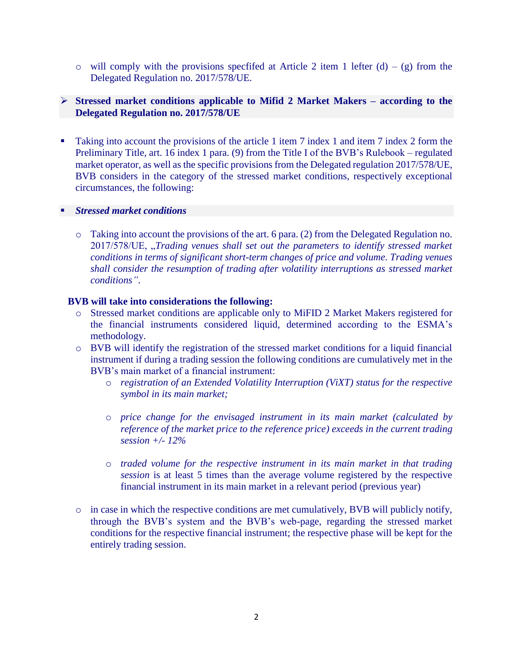o will comply with the provisions specfifed at Article 2 item 1 lefter  $(d) - (g)$  from the Delegated Regulation no. 2017/578/UE.

# ➢ **Stressed market conditions applicable to Mifid 2 Market Makers – according to the Delegated Regulation no. 2017/578/UE**

Taking into account the provisions of the article 1 item 7 index 1 and item 7 index 2 form the Preliminary Title, art. 16 index 1 para. (9) from the Title I of the BVB's Rulebook – regulated market operator, as well as the specific provisions from the Delegated regulation 2017/578/UE, BVB considers in the category of the stressed market conditions, respectively exceptional circumstances, the following:

### *<u>Stressed</u> market conditions*

o Taking into account the provisions of the art. 6 para. (2) from the Delegated Regulation no. 2017/578/UE, "*Trading venues shall set out the parameters to identify stressed market conditions in terms of significant short-term changes of price and volume. Trading venues shall consider the resumption of trading after volatility interruptions as stressed market conditions"*.

### **BVB will take into considerations the following:**

- o Stressed market conditions are applicable only to MiFID 2 Market Makers registered for the financial instruments considered liquid, determined according to the ESMA's methodology.
- o BVB will identify the registration of the stressed market conditions for a liquid financial instrument if during a trading session the following conditions are cumulatively met in the BVB's main market of a financial instrument:
	- o *registration of an Extended Volatility Interruption (ViXT) status for the respective symbol in its main market;*
	- o *price change for the envisaged instrument in its main market (calculated by reference of the market price to the reference price) exceeds in the current trading session +/- 12%*
	- o *traded volume for the respective instrument in its main market in that trading session* is at least 5 times than the average volume registered by the respective financial instrument in its main market in a relevant period (previous year)
- o in case in which the respective conditions are met cumulatively, BVB will publicly notify, through the BVB's system and the BVB's web-page, regarding the stressed market conditions for the respective financial instrument; the respective phase will be kept for the entirely trading session.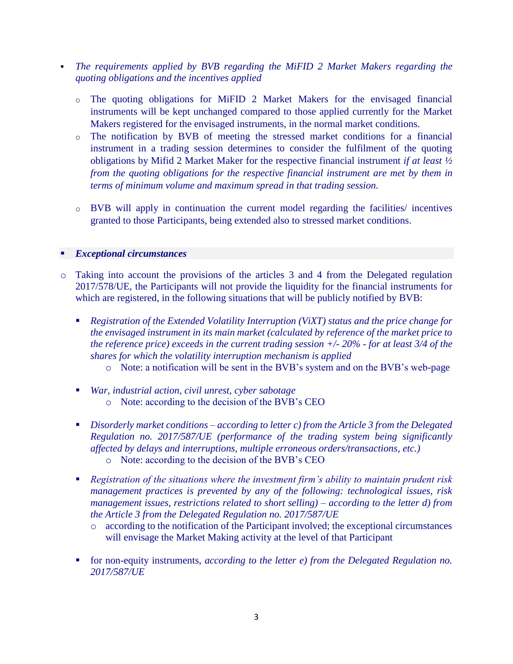- *The requirements applied by BVB regarding the MiFID 2 Market Makers regarding the quoting obligations and the incentives applied* 
	- o The quoting obligations for MiFID 2 Market Makers for the envisaged financial instruments will be kept unchanged compared to those applied currently for the Market Makers registered for the envisaged instruments, in the normal market conditions.
	- o The notification by BVB of meeting the stressed market conditions for a financial instrument in a trading session determines to consider the fulfilment of the quoting obligations by Mifid 2 Market Maker for the respective financial instrument *if at least ½ from the quoting obligations for the respective financial instrument are met by them in terms of minimum volume and maximum spread in that trading session.*
	- o BVB will apply in continuation the current model regarding the facilities/ incentives granted to those Participants, being extended also to stressed market conditions.

### ▪ *Exceptional circumstances*

- o Taking into account the provisions of the articles 3 and 4 from the Delegated regulation 2017/578/UE, the Participants will not provide the liquidity for the financial instruments for which are registered, in the following situations that will be publicly notified by BVB:
	- *Registration of the Extended Volatility Interruption (ViXT) status and the price change for the envisaged instrument in its main market (calculated by reference of the market price to the reference price) exceeds in the current trading session +/- 20% - for at least 3/4 of the shares for which the volatility interruption mechanism is applied* 
		- o Note: a notification will be sent in the BVB's system and on the BVB's web-page
	- *War, industrial action, civil unrest, cyber sabotage* o Note: according to the decision of the BVB's CEO
	- *Disorderly market conditions – according to letter c) from the Article 3 from the Delegated Regulation no. 2017/587/UE (performance of the trading system being significantly affected by delays and interruptions, multiple erroneous orders/transactions, etc.)* 
		- o Note: according to the decision of the BVB's CEO
	- *Registration of the situations where the investment firm's ability to maintain prudent risk management practices is prevented by any of the following: technological issues, risk management issues, restrictions related to short selling) – according to the letter d) from the Article 3 from the Delegated Regulation no. 2017/587/UE* 
		- o according to the notification of the Participant involved; the exceptional circumstances will envisage the Market Making activity at the level of that Participant
	- for non-equity instruments, *according to the letter e) from the Delegated Regulation no. 2017/587/UE*